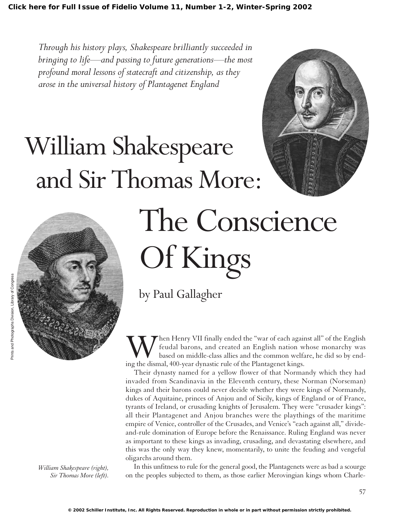*Through his history plays, Shakespeare brilliantly succeeded in bringing to life—and passing to future generations—the most profound moral lessons of statecraft and citizenship, as they arose in the universal history of Plantagenet England*

# William Shakespeare and Sir Thomas More:



57



*William Shakespeare (right), Sir Thomas More (left).*

# The Conscience Of Kings

by Paul Gallagher

hen Henry VII finally ended the "war of each against all" of the English feudal barons, and created an English nation whose monarchy was based on middle-class allies and the common welfare, he did so by ending the dismal, 400-year dynastic rule of the Plantagenet kings.

Their dynasty named for a yellow flower of that Normandy which they had invaded from Scandinavia in the Eleventh century, these Norman (Norseman) kings and their barons could never decide whether they were kings of Normandy, dukes of Aquitaine, princes of Anjou and of Sicily, kings of England or of France, tyrants of Ireland, or crusading knights of Jerusalem. They were "crusader kings": all their Plantagenet and Anjou branches were the playthings of the maritime empire of Venice, controller of the Crusades, and Venice's "each against all," divideand-rule domination of Europe before the Renaissance. Ruling England was never as important to these kings as invading, crusading, and devastating elsewhere, and this was the only way they knew, momentarily, to unite the feuding and vengeful oligarchs around them.

In this unfitness to rule for the general good, the Plantagenets were as bad a scourge on the peoples subjected to them, as those earlier Merovingian kings whom Charle-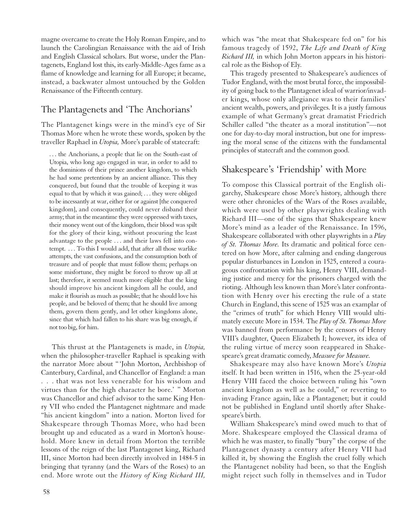magne overcame to create the Holy Roman Empire, and to launch the Carolingian Renaissance with the aid of Irish and English Classical scholars. But worse, under the Plantagenets, England lost this, its early-Middle-Ages fame as a flame of knowledge and learning for all Europe; it became, instead, a backwater almost untouched by the Golden Renaissance of the Fifteenth century.

#### The Plantagenets and 'The Anchorians'

The Plantagenet kings were in the mind's eye of Sir Thomas More when he wrote these words, spoken by the traveller Raphael in *Utopia,* More's parable of statecraft:

. . . the Anchorians, a people that lie on the South-east of Utopia, who long ago engaged in war, in order to add to the dominions of their prince another kingdom, to which he had some pretentions by an ancient alliance. This they conquered, but found that the trouble of keeping it was equal to that by which it was gained; . . . they were obliged to be incessantly at war, either for or against [the conquered kingdom], and consequently, could never disband their army; that in the meantime they were oppressed with taxes, their money went out of the kingdom, their blood was spilt for the glory of their king, without procuring the least advantage to the people . . . and their laws fell into contempt. . . . To this I would add, that after all those warlike attempts, the vast confusions, and the consumption both of treasure and of people that must follow them; perhaps on some misfortune, they might be forced to throw up all at last; therefore, it seemed much more eligible that the king should improve his ancient kingdom all he could, and make it flourish as much as possible; that he should love his people, and be beloved of them; that he should live among them, govern them gently, and let other kingdoms alone, since that which had fallen to his share was big enough, if not too big, for him.

This thrust at the Plantagenets is made, in *Utopia,* when the philosopher-traveller Raphael is speaking with the narrator More about " 'John Morton, Archbishop of Canterbury, Cardinal, and Chancellor of England: a man . . . that was not less venerable for his wisdom and virtues than for the high character he bore.' " Morton was Chancellor and chief advisor to the same King Henry VII who ended the Plantagenet nightmare and made "his ancient kingdom" into a nation. Morton lived for Shakespeare through Thomas More, who had been brought up and educated as a ward in Morton's household. More knew in detail from Morton the terrible lessons of the reign of the last Plantagenet king, Richard III, since Morton had been directly involved in 1484-5 in bringing that tyranny (and the Wars of the Roses) to an end. More wrote out the *History of King Richard III,*

which was "the meat that Shakespeare fed on" for his famous tragedy of 1592, *The Life and Death of King Richard III,* in which John Morton appears in his historical role as the Bishop of Ely.

This tragedy presented to Shakespeare's audiences of Tudor England, with the most brutal force, the impossibility of going back to the Plantagenet ideal of warrior/invader kings, whose only allegiance was to their families' ancient wealth, powers, and privileges. It is a justly famous example of what Germany's great dramatist Friedrich Schiller called "the theater as a moral institution"—not one for day-to-day moral instruction, but one for impressing the moral sense of the citizens with the fundamental principles of statecraft and the common good.

#### Shakespeare's 'Friendship' with More

To compose this Classical portrait of the English oligarchy, Shakespeare chose More's history, although there were other chronicles of the Wars of the Roses available, which were used by other playwrights dealing with Richard III—one of the signs that Shakespeare knew More's mind as a leader of the Renaissance. In 1596, Shakespeare collaborated with other playwrights in a *Play of St. Thomas More.* Its dramatic and political force centered on how More, after calming and ending dangerous popular disturbances in London in 1525, entered a courageous confrontation with his king, Henry VIII, demanding justice and mercy for the prisoners charged with the rioting. Although less known than More's later confrontation with Henry over his erecting the rule of a state Church in England, this scene of 1525 was an examplar of the "crimes of truth" for which Henry VIII would ultimately execute More in 1534. The *Play of St. Thomas More* was banned from performance by the censors of Henry VIII's daughter, Queen Elizabeth I; however, its idea of the ruling virtue of mercy soon reappeared in Shakespeare's great dramatic comedy, *Measure for Measure.*

Shakespeare may also have known More's *Utopia* itself. It had been written in 1516, when the 25-year-old Henry VIII faced the choice between ruling his "own ancient kingdom as well as he could," or reverting to invading France again, like a Plantagenet; but it could not be published in England until shortly after Shakespeare's birth.

William Shakespeare's mind owed much to that of More. Shakespeare employed the Classical drama of which he was master, to finally "bury" the corpse of the Plantagenet dynasty a century after Henry VII had killed it, by showing the English the cruel folly which the Plantagenet nobility had been, so that the English might reject such folly in themselves and in Tudor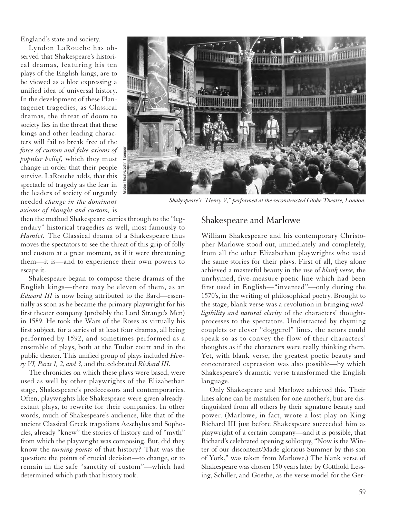England's state and society.

Lyndon LaRouche has observed that Shakespeare's historical dramas, featuring his ten plays of the English kings, are to be viewed as a bloc expressing a unified idea of universal history. In the development of these Plantagenet tragedies, as Classical dramas, the threat of doom to society lies in the threat that these kings and other leading characters will fail to break free of the *force of custom and false axioms of popular belief,* which they must change in order that their people survive. LaRouche adds, that this spectacle of tragedy as the fear in the leaders of society of urgently needed *change in the dominant axioms of thought and custom,* is



*Shakespeare's "Henry V," performed at the reconstructed Globe Theatre, London.*

then the method Shakespeare carries through to the "legendary" historical tragedies as well, most famously to *Hamlet.* The Classical drama of a Shakespeare thus moves the spectators to see the threat of this grip of folly and custom at a great moment, as if it were threatening them—it is—and to experience their own powers to escape it.

Shakespeare began to compose these dramas of the English kings—there may be eleven of them, as an *Edward III* is now being attributed to the Bard—essentially as soon as he became the primary playwright for his first theater company (probably the Lord Strange's Men) in 1589. He took the Wars of the Roses as virtually his first subject, for a series of at least four dramas, all being performed by 1592, and sometimes performed as a ensemble of plays, both at the Tudor court and in the public theater. This unified group of plays included *Henry VI, Parts 1, 2, and 3,* and the celebrated *Richard III.*

The chronicles on which these plays were based, were used as well by other playwrights of the Elizabethan stage, Shakespeare's predecessors and contemporaries. Often, playwrights like Shakespeare were given alreadyextant plays, to rewrite for their companies. In other words, much of Shakespeare's audience, like that of the ancient Classical Greek tragedians Aeschylus and Sophocles, already "knew" the stories of history and of "myth" from which the playwright was composing. But, did they know the *turning points* of that history? That was the question: the points of crucial decision—to change, or to remain in the safe "sanctity of custom"—which had determined which path that history took.

#### Shakespeare and Marlowe

William Shakespeare and his contemporary Christopher Marlowe stood out, immediately and completely, from all the other Elizabethan playwrights who used the same stories for their plays. First of all, they alone achieved a masterful beauty in the use of *blank verse,* the unrhymed, five-measure poetic line which had been first used in English—"invented"—only during the 1570's, in the writing of philosophical poetry. Brought to the stage, blank verse was a revolution in bringing *intelligibility and natural clarity* of the characters' thoughtprocesses to the spectators. Undistracted by rhyming couplets or clever "doggerel" lines, the actors could speak so as to convey the flow of their characters' thoughts as if the characters were really thinking them. Yet, with blank verse, the greatest poetic beauty and concentrated expression was also possible—by which Shakespeare's dramatic verse transformed the English language.

Only Shakespeare and Marlowe achieved this. Their lines alone can be mistaken for one another's, but are distinguished from all others by their signature beauty and power. (Marlowe, in fact, wrote a lost play on King Richard III just before Shakespeare succeeded him as playwright of a certain company—and it is possible, that Richard's celebrated opening soliloquy, "Now is the Winter of our discontent/Made glorious Summer by this son of York," was taken from Marlowe.) The blank verse of Shakespeare was chosen 150 years later by Gotthold Lessing, Schiller, and Goethe, as the verse model for the Ger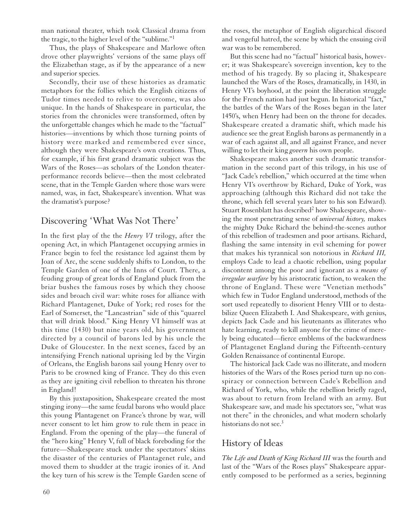man national theater, which took Classical drama from the tragic, to the higher level of the "sublime."1

Thus, the plays of Shakespeare and Marlowe often drove other playwrights' versions of the same plays off the Elizabethan stage, as if by the appearance of a new and superior species.

Secondly, their use of these histories as dramatic metaphors for the follies which the English citizens of Tudor times needed to relive to overcome, was also unique. In the hands of Shakespeare in particular, the stories from the chronicles were transformed, often by the unforgettable changes which he made to the "factual" histories—inventions by which those turning points of history were marked and remembered ever since, although they were Shakespeare's own creations. Thus, for example, if his first grand dramatic subject was the Wars of the Roses—as scholars of the London theaterperformance records believe—then the most celebrated scene, that in the Temple Garden where those wars were named, was, in fact, Shakespeare's invention. What was the dramatist's purpose?

#### Discovering 'What Was Not There'

In the first play of the the *Henry VI* trilogy, after the opening Act, in which Plantagenet occupying armies in France begin to feel the resistance led against them by Joan of Arc, the scene suddenly shifts to London, to the Temple Garden of one of the Inns of Court. There, a feuding group of great lords of England pluck from the briar bushes the famous roses by which they choose sides and broach civil war: white roses for alliance with Richard Plantagenet, Duke of York; red roses for the Earl of Somerset, the "Lancastrian" side of this "quarrel that will drink blood." King Henry VI himself was at this time (1430) but nine years old, his government directed by a council of barons led by his uncle the Duke of Gloucester. In the next scenes, faced by an intensifying French national uprising led by the Virgin of Orleans, the English barons sail young Henry over to Paris to be crowned king of France. They do this even as they are igniting civil rebellion to threaten his throne in England!

By this juxtaposition, Shakespeare created the most stinging irony—the same feudal barons who would place this young Plantagenet on France's throne by war, will never consent to let him grow to rule them in peace in England. From the opening of the play—the funeral of the "hero king" Henry V, full of black foreboding for the future—Shakespeare stuck under the spectators' skins the disaster of the centuries of Plantagenet rule, and moved them to shudder at the tragic ironies of it. And the key turn of his screw is the Temple Garden scene of the roses, the metaphor of English oligarchical discord and vengeful hatred, the scene by which the ensuing civil war was to be remembered.

But this scene had no "factual" historical basis, however; it was Shakespeare's sovereign invention, key to the method of his tragedy. By so placing it, Shakespeare launched the Wars of the Roses, dramatically, in 1430, in Henry VI's boyhood, at the point the liberation struggle for the French nation had just begun. In historical "fact," the battles of the Wars of the Roses began in the later 1450's, when Henry had been on the throne for decades. Shakespeare created a dramatic shift, which made his audience see the great English barons as permanently in a war of each against all, and all against France, and never willing to let their king *govern* his own people.

Shakespeare makes another such dramatic transformation in the second part of this trilogy, in his use of "Jack Cade's rebellion," which occurred at the time when Henry VI's overthrow by Richard, Duke of York, was approaching (although this Richard did not take the throne, which fell several years later to his son Edward). Stuart Rosenblatt has described<sup>2</sup> how Shakespeare, showing the most penetrating sense of *universal history,* makes the mighty Duke Richard the behind-the-scenes author of this rebellion of tradesmen and poor artisans. Richard, flashing the same intensity in evil scheming for power that makes his tyrannical son notorious in *Richard III,* employs Cade to lead a chaotic rebellion, using popular discontent among the poor and ignorant as a *means of irregular warfare* by his aristocratic faction, to weaken the throne of England. These were "Venetian methods" which few in Tudor England understood, methods of the sort used repeatedly to disorient Henry VIII or to destabilize Queen Elizabeth I. And Shakespeare, with genius, depicts Jack Cade and his lieutenants as illiterates who hate learning, ready to kill anyone for the crime of merely being educated—fierce emblems of the backwardness of Plantagenet England during the Fifteenth-century Golden Renaissance of continental Europe.

The historical Jack Cade was no illiterate, and modern histories of the Wars of the Roses period turn up no conspiracy or connection between Cade's Rebellion and Richard of York, who, while the rebellion briefly raged, was about to return from Ireland with an army. But Shakespeare saw, and made his spectators see, "what was not there" in the chronicles, and what modern scholarly historians do not see. $3$ 

### History of Ideas

*The Life and Death of King Richard III* was the fourth and last of the "Wars of the Roses plays" Shakespeare apparently composed to be performed as a series, beginning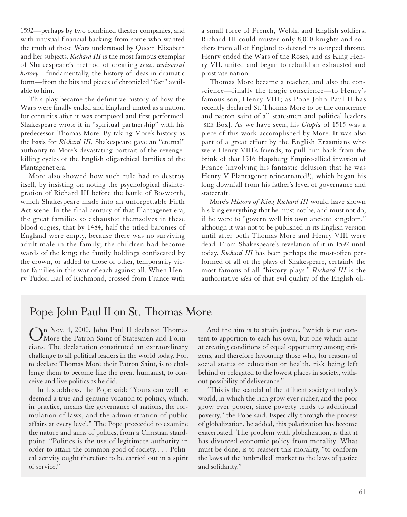1592—perhaps by two combined theater companies, and with unusual financial backing from some who wanted the truth of those Wars understood by Queen Elizabeth and her subjects. *Richard III* is the most famous exemplar of Shakespeare's method of creating *true, universal history*—fundamentally, the history of ideas in dramatic form—from the bits and pieces of chronicled "fact" available to him.

This play became the definitive history of how the Wars were finally ended and England united as a nation, for centuries after it was composed and first performed. Shakespeare wrote it in "spiritual partnership" with his predecessor Thomas More. By taking More's history as the basis for *Richard III,* Shakespeare gave an "eternal" authority to More's devastating portrait of the revengekilling cycles of the English oligarchical families of the Plantagenet era.

More also showed how such rule had to destroy itself, by insisting on noting the psychological disintegration of Richard III before the battle of Bosworth, which Shakespeare made into an unforgettable Fifth Act scene. In the final century of that Plantagenet era, the great families so exhausted themselves in these blood orgies, that by 1484, half the titled baronies of England were empty, because there was no surviving adult male in the family; the children had become wards of the king; the family holdings confiscated by the crown, or added to those of other, temporarily victor-families in this war of each against all. When Henry Tudor, Earl of Richmond, crossed from France with

a small force of French, Welsh, and English soldiers, Richard III could muster only 8,000 knights and soldiers from all of England to defend his usurped throne. Henry ended the Wars of the Roses, and as King Henry VII, united and began to rebuild an exhausted and prostrate nation.

Thomas More became a teacher, and also the conscience—finally the tragic conscience—to Henry's famous son, Henry VIII; as Pope John Paul II has recently declared St. Thomas More to be the conscience and patron saint of all statesmen and political leaders [SEE Box]. As we have seen, his *Utopia* of 1515 was a piece of this work accomplished by More. It was also part of a great effort by the English Erasmians who were Henry VIII's friends, to pull him back from the brink of that 1516 Hapsburg Empire-allied invasion of France (involving his fantastic delusion that he was Henry V Plantagenet reincarnated!), which began his long downfall from his father's level of governance and statecraft.

More's *History of King Richard III* would have shown his king everything that he must not be, and must not do, if he were to "govern well his own ancient kingdom," although it was not to be published in its English version until after both Thomas More and Henry VIII were dead. From Shakespeare's revelation of it in 1592 until today, *Richard III* has been perhaps the most-often performed of all of the plays of Shakespeare, certainly the most famous of all "history plays." *Richard III* is the authoritative *idea* of that evil quality of the English oli-

## Pope John Paul II on St. Thomas More

On Nov. 4, 2000, John Paul II declared Thomas More the Patron Saint of Statesmen and Politicians. The declaration constituted an extraordinary challenge to all political leaders in the world today. For, to declare Thomas More their Patron Saint, is to challenge them to become like the great humanist, to conceive and live politics as he did.

In his address, the Pope said: "Yours can well be deemed a true and genuine vocation to politics, which, in practice, means the governance of nations, the formulation of laws, and the administration of public affairs at every level." The Pope proceeded to examine the nature and aims of politics, from a Christian standpoint. "Politics is the use of legitimate authority in order to attain the common good of society. . . . Political activity ought therefore to be carried out in a spirit of service."

And the aim is to attain justice, "which is not content to apportion to each his own, but one which aims at creating conditions of equal opportunity among citizens, and therefore favouring those who, for reasons of social status or education or health, risk being left behind or relegated to the lowest places in society, without possibility of deliverance."

"This is the scandal of the affluent society of today's world, in which the rich grow ever richer, and the poor grow ever poorer, since poverty tends to additional poverty," the Pope said. Especially through the process of globalization, he added, this polarization has become exacerbated. The problem with globalization, is that it has divorced economic policy from morality. What must be done, is to reassert this morality, "to conform the laws of the 'unbridled' market to the laws of justice and solidarity."